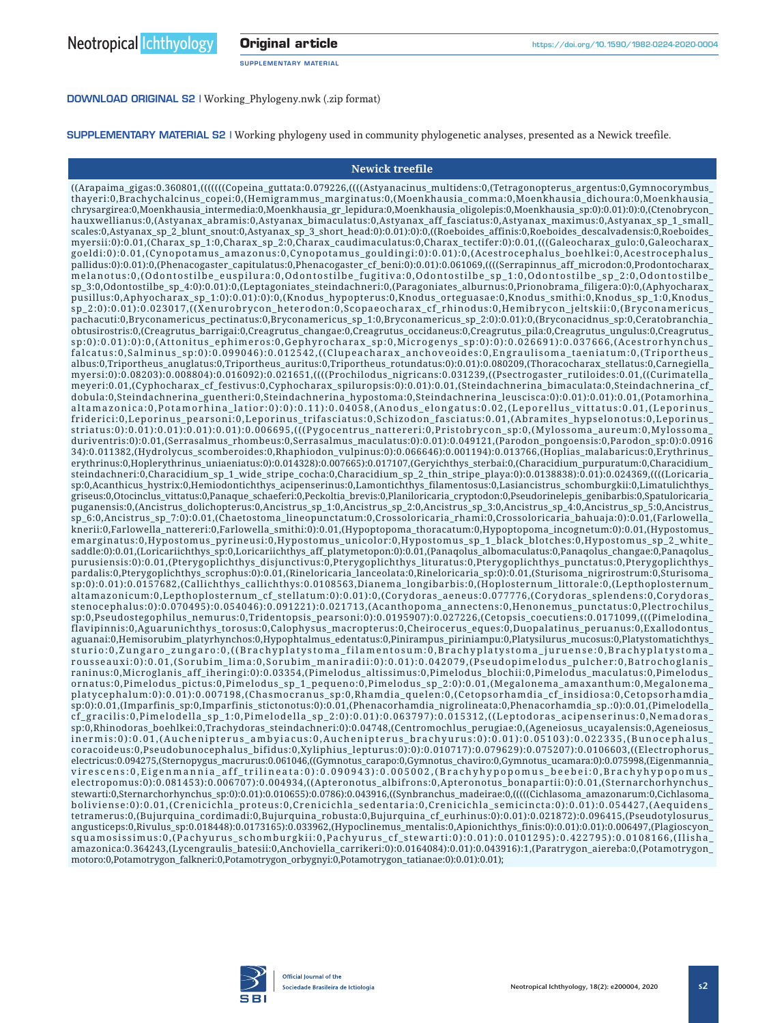SUPPLEMENTARY MATERIAL

[DOWNLOAD ORIGINAL S2 |](file:https://www.sbi.bio.br/ni/content/v18n2/supplementary/Working_Phylogeny.zip) [Working\\_Phylogeny.nwk \(.zip format\)](https://www.sbi.bio.br/ni/content/v18n2/supplementary/Working_Phylogeny.zip)

SUPPLEMENTARY MATERIAL S2 | Working phylogeny used in community phylogenetic analyses, presented as a Newick treefile.

## **Newick treefile**

 $((Arapaima gigas:0.360801, ((((((Copeina guttata:0.079226, (((Astyanacinus multidens:0,(Tetragonopterus-argentus:0,Gymnocorymbus$ thayeri:0,Brachychalcinus\_copei:0,(Hemigrammus\_marginatus:0,(Moenkhausia\_comma:0,Moenkhausia\_dichoura:0,Moenkhausia\_ chrysargirea:0,Moenkhausia\_intermedia:0,Moenkhausia\_gr\_lepidura:0,Moenkhausia\_oligolepis:0,Moenkhausia\_sp:0):0.01):0):0,(Ctenobrycon\_ hauxwellianus:0,(Astyanax\_abramis:0,Astyanax\_bimaculatus:0,Astyanax\_aff\_fasciatus:0,Astyanax\_maximus:0,Astyanax\_sp\_1\_small\_ scales:0,Astyanax\_sp\_2\_blunt\_snout:0,Astyanax\_sp\_3\_short\_head:0):0.01):0):0,((Roeboides\_affinis:0,Roeboides\_descalvadensis:0,Roeboides myersii:0):0.01,(Charax\_sp\_1:0,Charax\_sp\_2:0,Charax\_caudimaculatus:0,Charax\_tectifer:0):0.01,(((Galeocharax\_gulo:0,Galeocharax\_ goeldi:0):0.01,(Cynopotamus\_amazonus:0,Cynopotamus\_gouldingi:0):0.01):0,(Acestrocephalus\_boehlkei:0,Acestrocephalus\_ pallidus:0):0.01):0,(Phenacogaster\_capitulatus:0,Phenacogaster\_cf\_beni:0):0.01):0.061069,((((Serrapinnus\_aff\_microdon:0,Prodontocharax\_ melanotus:0,(Odontostilbe\_euspilura:0,Odontostilbe\_fugitiva:0,Odontostilbe\_sp\_1:0,Odontostilbe\_sp\_2:0,Odontostilbe\_ sp\_3:0,Odontostilbe\_sp\_4:0):0.01):0,(Leptagoniates\_steindachneri:0,(Paragoniates\_alburnus:0,Prionobrama\_filigera:0):0,(Aphyocharax\_ pusillus:0,Aphyocharax\_sp\_1:0):0.01):0):0,(Knodus\_hypopterus:0,Knodus\_orteguasae:0,Knodus\_smithi:0,Knodus\_sp\_1:0,Knodus\_ sp\_2:0):0.01):0.023017,((Xenurobrycon\_heterodon:0,Scopaeocharax\_cf\_rhinodus:0,Hemibrycon\_jeltskii:0,(Bryconamericus\_ pachacuti:0,Bryconamericus\_pectinatus:0,Bryconamericus\_sp\_1:0,Bryconamericus\_sp\_2:0):0.01):0,(Bryconacidnus\_sp:0,Ceratobranchia\_ obtusirostris:0,(Creagrutus\_barrigai:0,Creagrutus\_changae:0,Creagrutus\_occidaneus:0,Creagrutus\_pila:0,Creagrutus\_ungulus:0,Creagrutus\_ sp:0):0.01):0):0,(Attonitus\_ephimeros:0,Gephyrocharax\_sp:0,Microgenys\_sp:0):0):0.026691):0.037666,(Acestrorhynchus\_ falcatus:0,Salminus\_sp:0):0.099046):0.012542,((Clupeacharax\_anchoveoides:0,Engraulisoma\_taeniatum:0,(Triportheus\_ albus:0,Triportheus\_anuglatus:0,Triportheus\_auritus:0,Triportheus\_rotundatus:0):0.01):0.080209,(Thoracocharax\_stellatus:0,Carnegiella\_ myersi:0):0.08203):0.008804):0.016092):0.021651,((((Prochilodus\_nigricans:0.031239,((Psectrogaster\_rutiloides:0.01,((Curimatella\_ meyeri:0.01,(Cyphocharax\_cf\_festivus:0,Cyphocharax\_spiluropsis:0):0.01):0.01,(Steindachnerina\_bimaculata:0,Steindachnerina\_cf\_ dobula:0,Steindachnerina\_guentheri:0,Steindachnerina\_hypostoma:0,Steindachnerina\_leuscisca:0):0.01):0.01):0.01,(Potamorhina\_ altamazonica:0,Potamorhina\_latior:0):0):0.11):0.04058,(Anodus\_elongatus:0.02,(Leporellus\_vittatus:0.01,(Leporinus\_ friderici:0,Leporinus\_pearsoni:0,Leporinus\_trifasciatus:0,Schizodon\_fasciatus:0.01,(Abramites\_hypselonotus:0,Leporinus\_ striatus:0):0.01):0.01):0.01):0.01):0.006695,(((Pygocentrus\_nattereri:0,Pristobrycon\_sp:0,(Mylossoma\_aureum:0,Mylossoma\_ duriventris:0):0.01,(Serrasalmus\_rhombeus:0,Serrasalmus\_maculatus:0):0.01):0.049121,(Parodon\_pongoensis:0,Parodon\_sp:0):0.0916 34):0.011382,(Hydrolycus\_scomberoides:0,Rhaphiodon\_vulpinus:0):0.066646):0.001194):0.013766,(Hoplias\_malabaricus:0,Erythrinus\_ erythrinus:0,Hoplerythrinus\_uniaeniatus:0):0.014328):0.007665):0.017107,(Geryichthys\_sterbai:0,(Characidium\_purpuratum:0,Characidium\_ steindachneri:0,Characidium\_sp\_1\_wide\_stripe\_cocha:0,Characidium\_sp\_2\_thin\_stripe\_playa:0):0.0138838):0.01):0.024369,((((Loricaria\_ sp:0,Acanthicus\_hystrix:0,Hemiodontichthys\_acipenserinus:0,Lamontichthys\_filamentosus:0,Lasiancistrus\_schomburgkii:0,Limatulichthys\_ griseus:0,Otocinclus\_vittatus:0,Panaque\_schaeferi:0,Peckoltia\_brevis:0,Planiloricaria\_cryptodon:0,Pseudorinelepis\_genibarbis:0,Spatuloricaria\_ puganensis:0,(Ancistrus\_dolichopterus:0,Ancistrus\_sp\_1:0,Ancistrus\_sp\_2:0,Ancistrus\_sp\_3:0,Ancistrus\_sp\_4:0,Ancistrus\_sp\_5:0,Ancistrus\_ sp\_6:0,Ancistrus\_sp\_7:0):0.01,(Chaetostoma\_lineopunctatum:0,Crossoloricaria\_rhami:0,Crossoloricaria\_bahuaja:0):0.01,(Farlowella\_ knerii:0,Farlowella\_nattereri:0,Farlowella\_smithi:0):0.01,(Hypoptopoma\_thoracatum:0,Hypoptopoma\_incognetum:0):0.01,(Hypostomus\_ emarginatus:0,Hypostomus\_pyrineusi:0,Hypostomus\_unicolor:0,Hypostomus\_sp\_1\_black\_blotches:0,Hypostomus\_sp\_2\_white\_ saddle:0):0.01,(Loricariichthys\_sp:0,Loricariichthys\_aff\_platymetopon:0):0.01,(Panaqolus\_albomaculatus:0,Panaqolus\_changae:0,Panaqolus\_ purusiensis:0):0.01,(Pterygoplichthys\_disjunctivus:0,Pterygoplichthys\_lituratus:0,Pterygoplichthys\_punctatus:0,Pterygoplichthys\_ pardalis:0,Pterygoplichthys\_scrophus:0):0.01,(Rineloricaria\_lanceolata:0,Rineloricaria\_sp:0):0.01,(Sturisoma\_nigrirostrum:0,Sturisoma\_ sp:0):0.01):0.0157682,(Callichthys\_callichthys:0.0108563,Dianema\_longibarbis:0,(Hoplosternum\_littorale:0,(Lepthoplosternum\_ altamazonicum:0,Lepthoplosternum\_cf\_stellatum:0):0.01):0,(Corydoras\_aeneus:0.077776,(Corydoras\_splendens:0,Corydoras\_ stenocephalus:0):0.070495):0.054046):0.091221):0.021713,(Acanthopoma\_annectens:0,Henonemus\_punctatus:0,Plectrochilus\_ sp:0,Pseudostegophilus\_nemurus:0,Tridentopsis\_pearsoni:0):0.0195907):0.027226,(Cetopsis\_coecutiens:0.0171099,(((Pimelodina\_ flavipinnis:0,Aguarunichthys\_torosus:0,Calophysus\_macropterus:0,Cheirocerus\_eques:0,Duopalatinus\_peruanus:0,Exallodontus\_ aguanai:0,Hemisorubim\_platyrhynchos:0,Hypophtalmus\_edentatus:0,Pinirampus\_piriniampu:0,Platysilurus\_mucosus:0,Platystomatichthys\_ sturio:0,Zungaro\_zungaro:0,((Brachyplatystoma\_filamentosum:0,Brachyplatystoma\_juruense:0,Brachyplatystoma\_ rousseauxi:0):0.01,(Sorubim\_lima:0,Sorubim\_maniradii:0):0.01):0.042079,(Pseudopimelodus\_pulcher:0,Batrochoglanis\_ raninus:0,Microglanis\_aff\_iheringi:0):0.03354,(Pimelodus\_altissimus:0,Pimelodus\_blochii:0,Pimelodus\_maculatus:0,Pimelodus\_ ornatus:0,Pimelodus\_pictus:0,Pimelodus\_sp\_1\_pequeno:0,Pimelodus\_sp\_2:0):0.01,(Megalonema\_amaxanthum:0,Megalonema\_ platycephalum:0):0.01):0.007198,(Chasmocranus\_sp:0,Rhamdia\_quelen:0,(Cetopsorhamdia\_cf\_insidiosa:0,Cetopsorhamdia\_ sp:0):0.01,(Imparfinis\_sp:0,Imparfinis\_stictonotus:0):0.01,(Phenacorhamdia\_nigrolineata:0,Phenacorhamdia\_sp.:0):0.01,(Pimelodella\_ cf\_gracilis:0,Pimelodella\_sp\_1:0,Pimelodella\_sp\_2:0):0.01):0.063797):0.015312,((Leptodoras\_acipenserinus:0,Nemadoras\_ sp:0,Rhinodoras\_boehlkei:0,Trachydoras\_steindachneri:0):0.04748,(Centromochlus\_perugiae:0,(Ageneiosus\_ucayalensis:0,Ageneiosus\_ inermis:0):0.01,(Auchenipterus\_ambyiacus:0,Auchenipterus\_brachyurus:0):0.01):0.05103):0.022335,(Bunocephalus\_ coracoideus:0,Pseudobunocephalus\_bifidus:0,Xyliphius\_lepturus:0):0):0.010717):0.079629):0.075207):0.0106603,((Electrophorus\_ electricus:0.094275,(Sternopygus\_macrurus:0.061046,((Gymnotus\_carapo:0,Gymnotus\_chaviro:0,Gymnotus\_ucamara:0):0.075998,(Eigenmannia\_ virescens:0,Eigenmannia\_aff\_trilineata:0):0.090943):0.005002,(Brachyhypopomus\_beebei:0,Brachyhypopomus\_ electropomus:0):0.081453):0.006707):0.004934,((Apteronotus\_albifrons:0,Apteronotus\_bonapartii:0):0.01,(Sternarchorhynchus\_ stewarti:0,Sternarchorhynchus\_sp:0):0.01):0.010655):0.0786):0.043916,((Synbranchus\_madeirae:0,(((((Cichlasoma\_amazonarum:0,Cichlasoma\_ boliviense:0):0.01,(Crenicichla\_proteus:0,Crenicichla\_sedentaria:0,Crenicichla\_semicincta:0):0.01):0.054427,(Aequidens\_ tetramerus:0,(Bujurquina\_cordimadi:0,Bujurquina\_robusta:0,Bujurquina\_cf\_eurhinus:0):0.01):0.021872):0.096415,(Pseudotylosurus\_ angusticeps:0,Rivulus\_sp:0.018448):0.0173165):0.033962,(Hypoclinemus\_mentalis:0,Apionichthys\_finis:0):0.01):0.01):0.006497,(Plagioscyon\_ squamosissimus:0,(Pachyurus\_schomburgkii:0,Pachyurus\_cf\_stewarti:0):0.01):0.0101295):0.422795):0.0108166,(Ilisha\_ amazonica:0.364243,(Lycengraulis\_batesii:0,Anchoviella\_carrikeri:0):0.0164084):0.01):0.043916):1,(Paratrygon\_aiereba:0,(Potamotrygon\_ motoro:0,Potamotrygon\_falkneri:0,Potamotrygon\_orbygnyi:0,Potamotrygon\_tatianae:0):0.01):0.01);